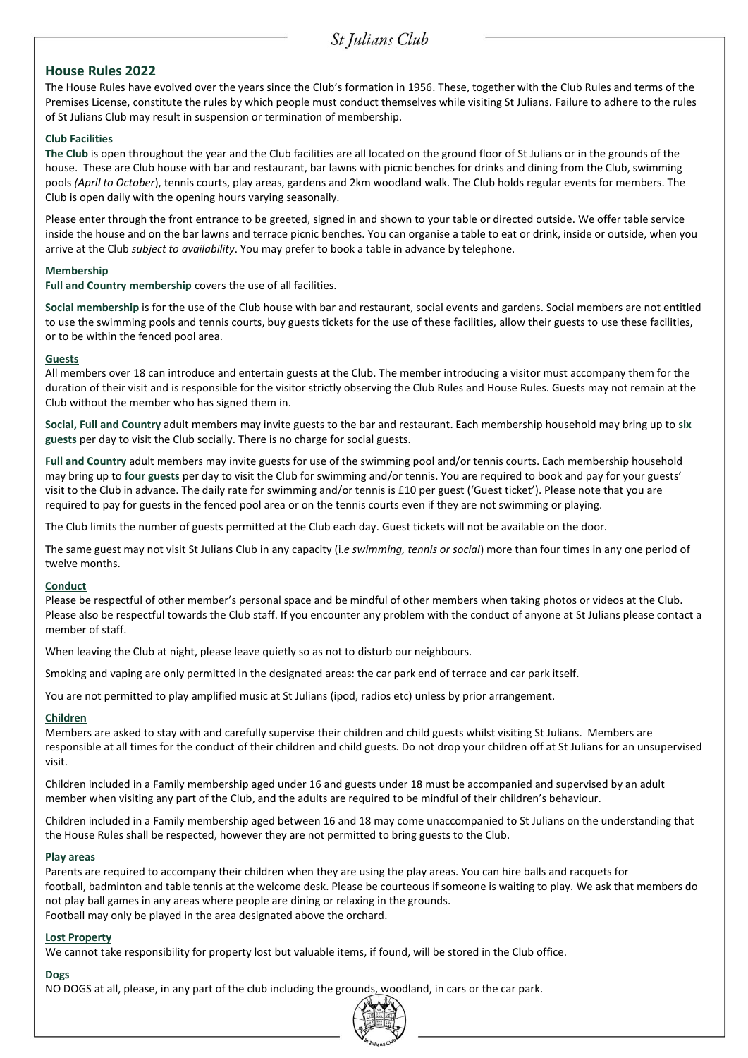# **House Rules 2022**

The House Rules have evolved over the years since the Club's formation in 1956. These, together with the Club Rules and terms of the Premises License, constitute the rules by which people must conduct themselves while visiting St Julians. Failure to adhere to the rules of St Julians Club may result in suspension or termination of membership.

## **Club Facilities**

**The Club** is open throughout the year and the Club facilities are all located on the ground floor of St Julians or in the grounds of the house. These are Club house with bar and restaurant, bar lawns with picnic benches for drinks and dining from the Club, swimming pools *(April to October*), tennis courts, play areas, gardens and 2km woodland walk. The Club holds regular events for members. The Club is open daily with the opening hours varying seasonally.

Please enter through the front entrance to be greeted, signed in and shown to your table or directed outside. We offer table service inside the house and on the bar lawns and terrace picnic benches. You can organise a table to eat or drink, inside or outside, when you arrive at the Club *subject to availability*. You may prefer to book a table in advance by telephone.

### **Membership**

**Full and Country membership** covers the use of all facilities.

**Social membership** is for the use of the Club house with bar and restaurant, social events and gardens. Social members are not entitled to use the swimming pools and tennis courts, buy guests tickets for the use of these facilities, allow their guests to use these facilities, or to be within the fenced pool area.

### **Guests**

All members over 18 can introduce and entertain guests at the Club. The member introducing a visitor must accompany them for the duration of their visit and is responsible for the visitor strictly observing the Club Rules and House Rules. Guests may not remain at the Club without the member who has signed them in.

**Social, Full and Country** adult members may invite guests to the bar and restaurant. Each membership household may bring up to **six guests** per day to visit the Club socially. There is no charge for social guests.

**Full and Country** adult members may invite guests for use of the swimming pool and/or tennis courts. Each membership household may bring up to **four guests** per day to visit the Club for swimming and/or tennis. You are required to book and pay for your guests' visit to the Club in advance. The daily rate for swimming and/or tennis is £10 per guest ('Guest ticket'). Please note that you are required to pay for guests in the fenced pool area or on the tennis courts even if they are not swimming or playing.

The Club limits the number of guests permitted at the Club each day. Guest tickets will not be available on the door.

The same guest may not visit St Julians Club in any capacity (i.*e swimming, tennis or social*) more than four times in any one period of twelve months.

### **Conduct**

Please be respectful of other member's personal space and be mindful of other members when taking photos or videos at the Club. Please also be respectful towards the Club staff. If you encounter any problem with the conduct of anyone at St Julians please contact a member of staff.

When leaving the Club at night, please leave quietly so as not to disturb our neighbours.

Smoking and vaping are only permitted in the designated areas: the car park end of terrace and car park itself.

You are not permitted to play amplified music at St Julians (ipod, radios etc) unless by prior arrangement.

# **Children**

Members are asked to stay with and carefully supervise their children and child guests whilst visiting St Julians. Members are responsible at all times for the conduct of their children and child guests. Do not drop your children off at St Julians for an unsupervised visit.

Children included in a Family membership aged under 16 and guests under 18 must be accompanied and supervised by an adult member when visiting any part of the Club, and the adults are required to be mindful of their children's behaviour.

Children included in a Family membership aged between 16 and 18 may come unaccompanied to St Julians on the understanding that the House Rules shall be respected, however they are not permitted to bring guests to the Club.

### **Play areas**

Parents are required to accompany their children when they are using the play areas. You can hire balls and racquets for football, badminton and table tennis at the welcome desk. Please be courteous if someone is waiting to play. We ask that members do not play ball games in any areas where people are dining or relaxing in the grounds. Football may only be played in the area designated above the orchard.

### **Lost Property**

We cannot take responsibility for property lost but valuable items, if found, will be stored in the Club office.

# **Dogs**

NO DOGS at all, please, in any part of the club including the grounds, woodland, in cars or the car park.